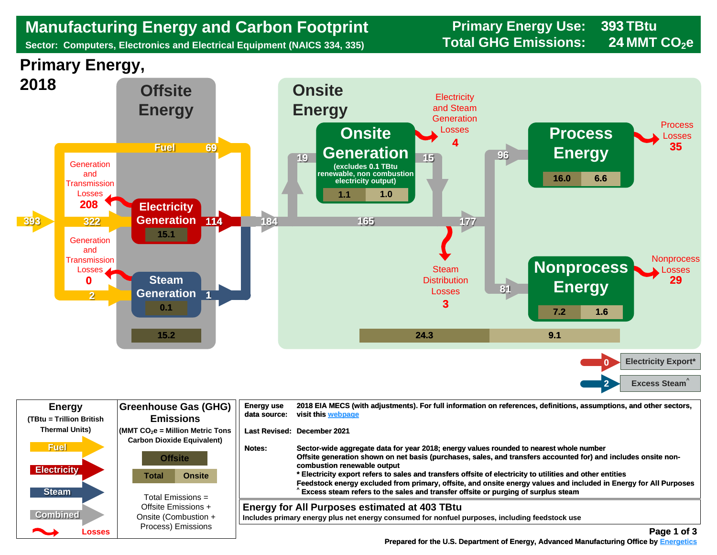## **Manufacturing Energy and Carbon Footprint Frimary Energy Use:**<br>Sector: Computers, Electronics and Electrical Equipment (NAICS 334, 335) **Total GHG Emissions:**

**Sector: Computers, Electronics and Electrical Equipment (NAICS 334, 335)** 

**393 24**





| <b>Energy</b>                                     | <b>Greenhouse Gas (GHG)</b>                                                                 | <b>Energy use</b> | 2018 EIA MECS (with adjustments). For full information on references, definitions, assumptions, and other sectors,                                                                                                                                                                                                                                                                                                                                                                                                                                              |
|---------------------------------------------------|---------------------------------------------------------------------------------------------|-------------------|-----------------------------------------------------------------------------------------------------------------------------------------------------------------------------------------------------------------------------------------------------------------------------------------------------------------------------------------------------------------------------------------------------------------------------------------------------------------------------------------------------------------------------------------------------------------|
| (TBtu = Trillion British                          | <b>Emissions</b>                                                                            | data source:      | visit this webpage                                                                                                                                                                                                                                                                                                                                                                                                                                                                                                                                              |
| <b>Thermal Units)</b>                             | $\mathsf{MMT}$ CO <sub>2</sub> e = Million Metric Tons<br><b>Carbon Dioxide Equivalent)</b> |                   | Last Revised: December 2021                                                                                                                                                                                                                                                                                                                                                                                                                                                                                                                                     |
| <b>Fuel</b><br><b>Electricity</b><br><b>Steam</b> | <b>Offsite</b><br><b>Onsite</b><br>Total<br>Total Emissions $=$                             | Notes:            | Sector-wide aggregate data for year 2018; energy values rounded to nearest whole number<br>Offsite generation shown on net basis (purchases, sales, and transfers accounted for) and includes onsite non-<br>combustion renewable output<br>* Electricity export refers to sales and transfers offsite of electricity to utilities and other entities<br>Feedstock energy excluded from primary, offsite, and onsite energy values and included in Energy for All Purposes<br>Excess steam refers to the sales and transfer offsite or purging of surplus steam |
| <b>Combined</b>                                   | Offsite Emissions +                                                                         |                   | <b>Energy for All Purposes estimated at 403 TBtu</b>                                                                                                                                                                                                                                                                                                                                                                                                                                                                                                            |
| <b>Albert Street</b>                              | Onsite (Combustion +                                                                        |                   | Includes primary energy plus net energy consumed for nonfuel purposes, including feedstock use                                                                                                                                                                                                                                                                                                                                                                                                                                                                  |
| Losses                                            | Process) Emissions                                                                          |                   | Page 1 of 3                                                                                                                                                                                                                                                                                                                                                                                                                                                                                                                                                     |

 **[Prepared for the U.S. Department of Energy, Advanced Manufacturing Office by Energetics](https://www.energetics.com/) Manufacturing Energetics**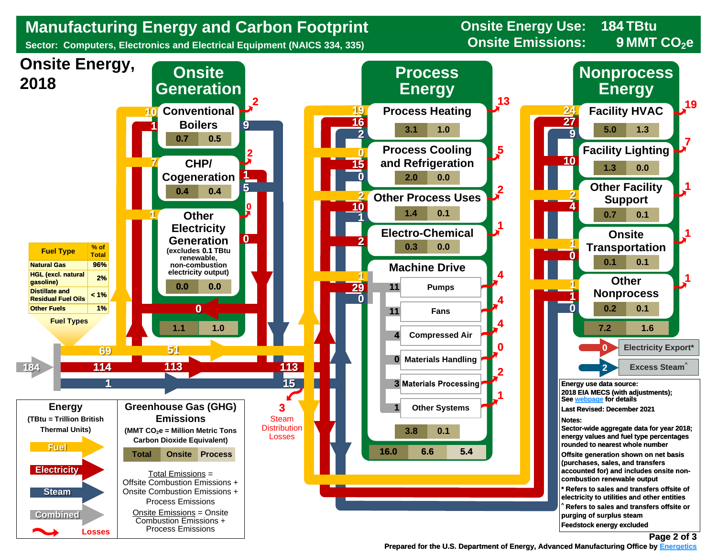